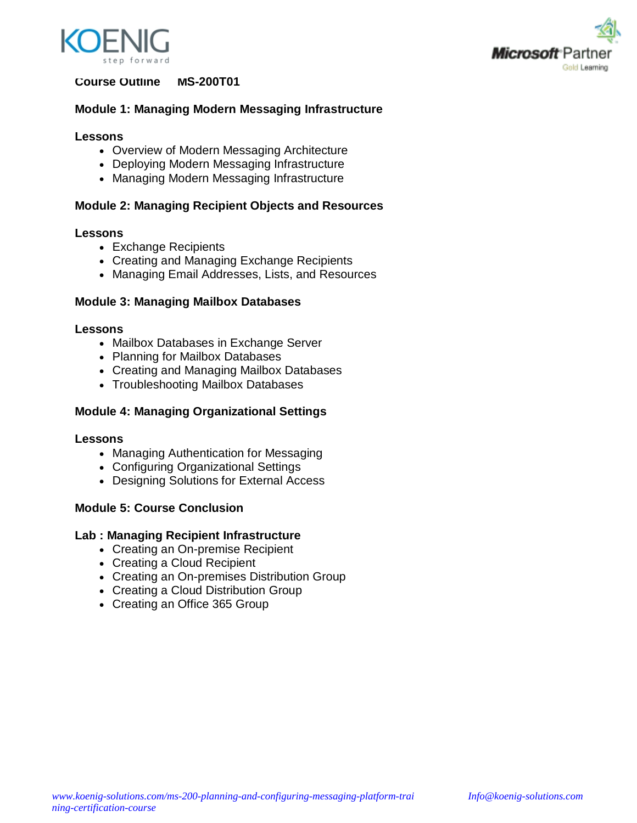



# **Course Outline MS-200T01**

# **Module 1: Managing Modern Messaging Infrastructure**

### **Lessons**

- Overview of Modern Messaging Architecture
- Deploying Modern Messaging Infrastructure
- Managing Modern Messaging Infrastructure

## **Module 2: Managing Recipient Objects and Resources**

## **Lessons**

- Exchange Recipients
- Creating and Managing Exchange Recipients
- Managing Email Addresses, Lists, and Resources

## **Module 3: Managing Mailbox Databases**

#### **Lessons**

- Mailbox Databases in Exchange Server
- Planning for Mailbox Databases
- Creating and Managing Mailbox Databases
- Troubleshooting Mailbox Databases

# **Module 4: Managing Organizational Settings**

#### **Lessons**

- Managing Authentication for Messaging
- Configuring Organizational Settings
- Designing Solutions for External Access

## **Module 5: Course Conclusion**

## **Lab : Managing Recipient Infrastructure**

- Creating an On-premise Recipient
- Creating a Cloud Recipient
- Creating an On-premises Distribution Group
- Creating a Cloud Distribution Group
- Creating an Office 365 Group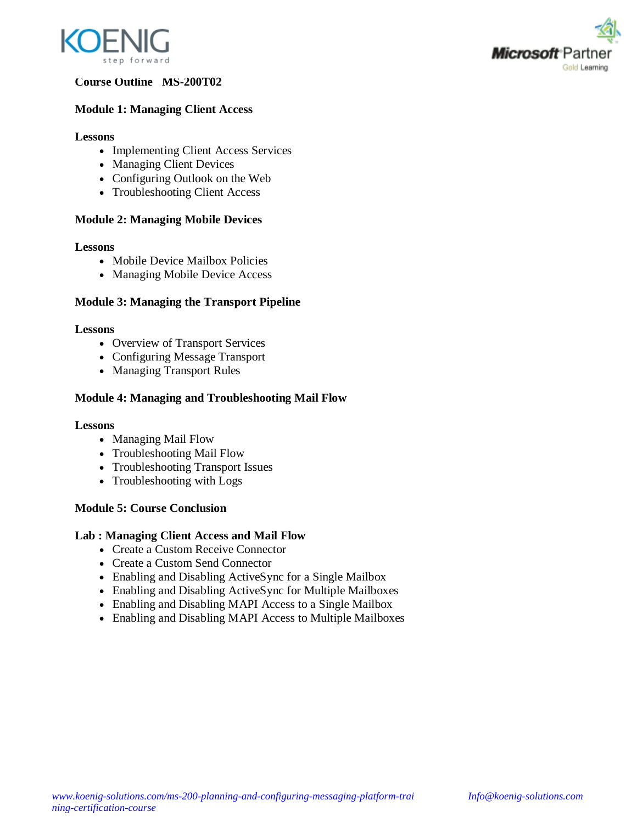



## **Course Outline MS-200T02**

## **Module 1: Managing Client Access**

#### **Lessons**

- Implementing Client Access Services
- Managing Client Devices
- Configuring Outlook on the Web
- Troubleshooting Client Access

## **Module 2: Managing Mobile Devices**

#### **Lessons**

- Mobile Device Mailbox Policies
- Managing Mobile Device Access

## **Module 3: Managing the Transport Pipeline**

#### **Lessons**

- Overview of Transport Services
- Configuring Message Transport
- Managing Transport Rules

## **Module 4: Managing and Troubleshooting Mail Flow**

## **Lessons**

- Managing Mail Flow
- Troubleshooting Mail Flow
- Troubleshooting Transport Issues
- Troubleshooting with Logs

## **Module 5: Course Conclusion**

## **Lab : Managing Client Access and Mail Flow**

- Create a Custom Receive Connector
- Create a Custom Send Connector
- Enabling and Disabling ActiveSync for a Single Mailbox
- Enabling and Disabling ActiveSync for Multiple Mailboxes
- Enabling and Disabling MAPI Access to a Single Mailbox
- Enabling and Disabling MAPI Access to Multiple Mailboxes